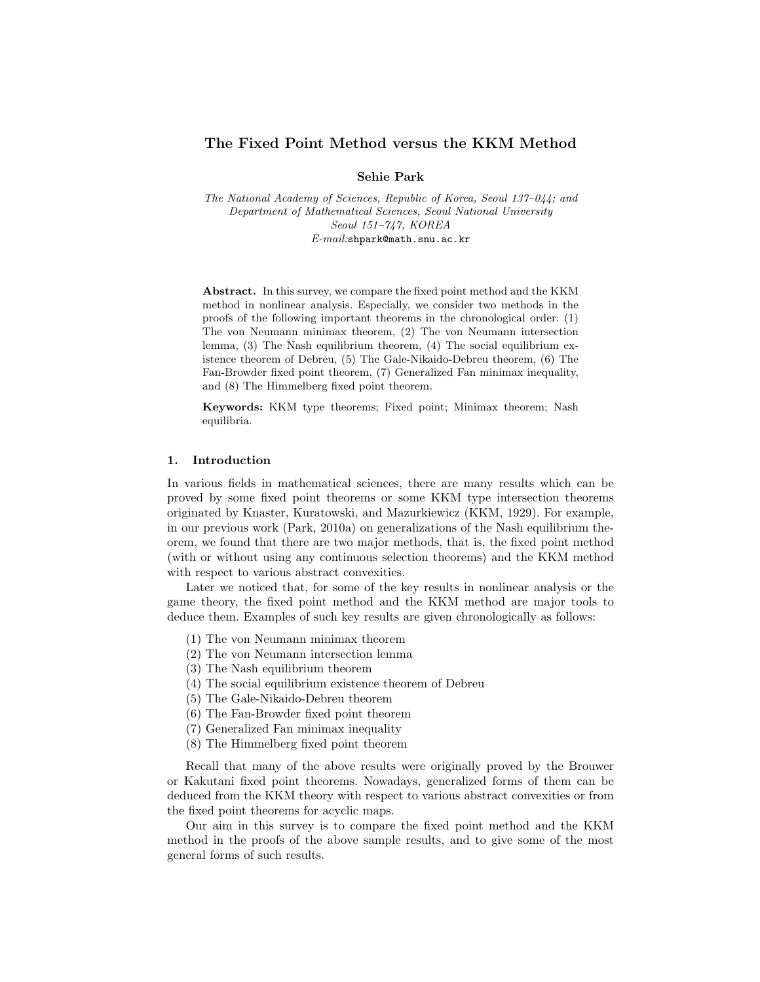## The Fixed Point Method versus the KKM Method

Sehie Park

The National Academy of Sciences, Republic of Korea, Seoul 137–044; and Department of Mathematical Sciences, Seoul National University Seoul 151–747, KOREA E-mail:shpark@math.snu.ac.kr

Abstract. In this survey, we compare the fixed point method and the KKM method in nonlinear analysis. Especially, we consider two methods in the proofs of the following important theorems in the chronological order: (1) The von Neumann minimax theorem, (2) The von Neumann intersection lemma, (3) The Nash equilibrium theorem, (4) The social equilibrium existence theorem of Debreu, (5) The Gale-Nikaido-Debreu theorem, (6) The Fan-Browder fixed point theorem, (7) Generalized Fan minimax inequality, and (8) The Himmelberg fixed point theorem.

Keywords: KKM type theorems; Fixed point; Minimax theorem; Nash equilibria.

#### 1. Introduction

In various fields in mathematical sciences, there are many results which can be proved by some fixed point theorems or some KKM type intersection theorems originated by Knaster, Kuratowski, and Mazurkiewicz (KKM, 1929). For example, in our previous work (Park, 2010a) on generalizations of the Nash equilibrium theorem, we found that there are two major methods, that is, the fixed point method (with or without using any continuous selection theorems) and the KKM method with respect to various abstract convexities.

Later we noticed that, for some of the key results in nonlinear analysis or the game theory, the fixed point method and the KKM method are major tools to deduce them. Examples of such key results are given chronologically as follows:

- (1) The von Neumann minimax theorem
- (2) The von Neumann intersection lemma
- (3) The Nash equilibrium theorem
- (4) The social equilibrium existence theorem of Debreu
- (5) The Gale-Nikaido-Debreu theorem
- (6) The Fan-Browder fixed point theorem
- (7) Generalized Fan minimax inequality
- (8) The Himmelberg fixed point theorem

Recall that many of the above results were originally proved by the Brouwer or Kakutani fixed point theorems. Nowadays, generalized forms of them can be deduced from the KKM theory with respect to various abstract convexities or from the fixed point theorems for acyclic maps.

Our aim in this survey is to compare the fixed point method and the KKM method in the proofs of the above sample results, and to give some of the most general forms of such results.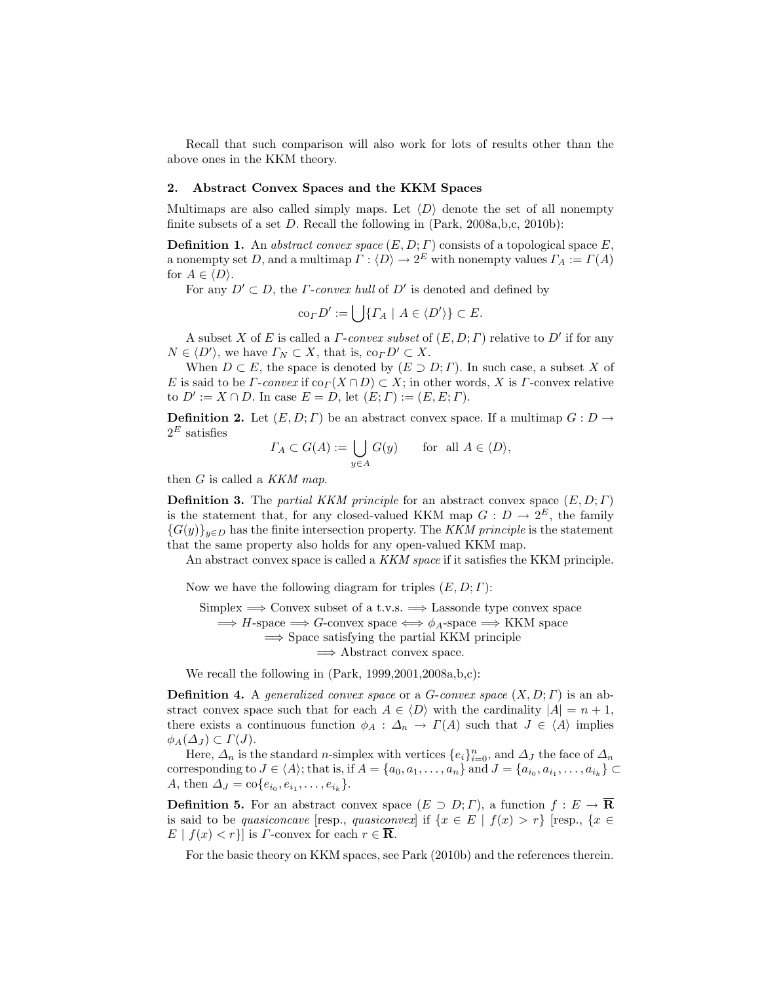Recall that such comparison will also work for lots of results other than the above ones in the KKM theory.

# 2. Abstract Convex Spaces and the KKM Spaces

Multimaps are also called simply maps. Let  $\langle D \rangle$  denote the set of all nonempty finite subsets of a set  $D$ . Recall the following in  $(Park, 2008a, b, c, 2010b)$ :

**Definition 1.** An abstract convex space  $(E, D; \Gamma)$  consists of a topological space E, a nonempty set D, and a multimap  $\Gamma : \langle D \rangle \to 2^E$  with nonempty values  $\Gamma_A := \Gamma(A)$ for  $A \in \langle D \rangle$ .

For any  $D' \subset D$ , the *Γ*-convex hull of  $D'$  is denoted and defined by

$$
co_{\varGamma}D':=\bigcup\{\varGamma_A\mid A\in\langle D'\rangle\}\subset E.
$$

A subset X of E is called a  $\Gamma$ -convex subset of  $(E, D; \Gamma)$  relative to  $D'$  if for any  $N \in \langle D' \rangle$ , we have  $\Gamma_N \subset X$ , that is,  $\text{co}_{\Gamma} D' \subset X$ .

When  $D \subset E$ , the space is denoted by  $(E \supset D; \Gamma)$ . In such case, a subset X of E is said to be  $\Gamma$ -convex if  $\text{co}_{\Gamma}(X \cap D) \subset X$ ; in other words, X is  $\Gamma$ -convex relative to  $D' := X \cap D$ . In case  $E = D$ , let  $(E; \Gamma) := (E, E; \Gamma)$ .

**Definition 2.** Let  $(E, D; \Gamma)$  be an abstract convex space. If a multimap  $G: D \to$  $2^E$  satisfies

$$
\varGamma_A \subset G(A) := \bigcup_{y \in A} G(y) \quad \text{for all } A \in \langle D \rangle,
$$

then  $G$  is called a KKM map.

**Definition 3.** The partial KKM principle for an abstract convex space  $(E, D; \Gamma)$ is the statement that, for any closed-valued KKM map  $G: D \to 2^E$ , the family  ${G(y)}_{y\in D}$  has the finite intersection property. The KKM principle is the statement that the same property also holds for any open-valued KKM map.

An abstract convex space is called a KKM space if it satisfies the KKM principle.

Now we have the following diagram for triples  $(E, D; \Gamma)$ :

Simplex  $\implies$  Convex subset of a t.v.s.  $\implies$  Lassonde type convex space  $\implies$  H-space  $\implies$  G-convex space  $\iff \phi_A$ -space  $\implies$  KKM space  $\Rightarrow$  Space satisfying the partial KKM principle  $\Rightarrow$  Abstract convex space.

We recall the following in (Park, 1999, 2001, 2008a, b,c):

**Definition 4.** A generalized convex space or a G-convex space  $(X, D; \Gamma)$  is an abstract convex space such that for each  $A \in \langle D \rangle$  with the cardinality  $|A| = n + 1$ , there exists a continuous function  $\phi_A : \Delta_n \to \Gamma(A)$  such that  $J \in \langle A \rangle$  implies  $\phi_A(\Delta_J) \subset \Gamma(J)$ .

Here,  $\Delta_n$  is the standard *n*-simplex with vertices  $\{e_i\}_{i=0}^n$ , and  $\Delta_J$  the face of  $\Delta_n$ corresponding to  $J \in \langle A \rangle$ ; that is, if  $A = \{a_0, a_1, \ldots, a_n\}$  and  $J = \{a_{i_0}, a_{i_1}, \ldots, a_{i_k}\} \subset$ A, then  $\Delta_J = \text{co}\{e_{i_0}, e_{i_1}, \dots, e_{i_k}\}.$ 

**Definition 5.** For an abstract convex space  $(E \supset D; \Gamma)$ , a function  $f : E \to \overline{\mathbf{R}}$ is said to be quasiconcave [resp., quasiconvex] if  $\{x \in E \mid f(x) > r\}$  [resp.,  $\{x \in E \mid f(x) > r\}$ ]  $E | f(x) < r$ } is *Γ*-convex for each  $r \in \mathbf{R}$ .

For the basic theory on KKM spaces, see Park (2010b) and the references therein.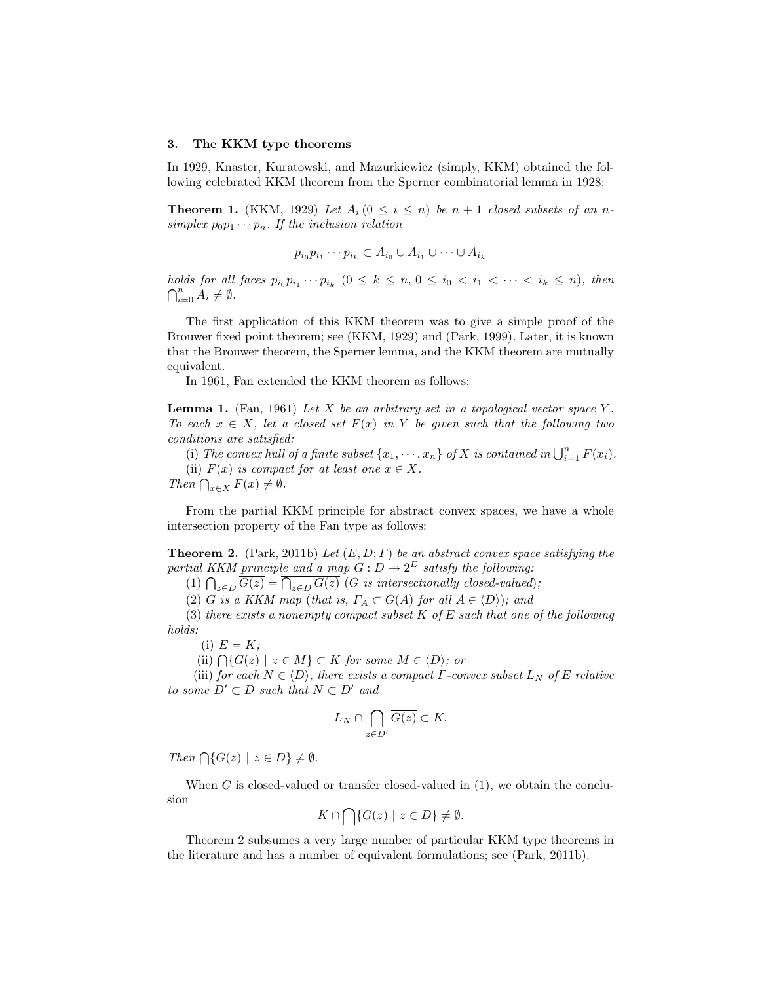#### 3. The KKM type theorems

In 1929, Knaster, Kuratowski, and Mazurkiewicz (simply, KKM) obtained the following celebrated KKM theorem from the Sperner combinatorial lemma in 1928:

**Theorem 1.** (KKM, 1929) Let  $A_i$  ( $0 \le i \le n$ ) be  $n + 1$  closed subsets of an nsimplex  $p_0p_1\cdots p_n$ . If the inclusion relation

$$
p_{i_0}p_{i_1}\cdots p_{i_k}\subset A_{i_0}\cup A_{i_1}\cup\cdots\cup A_{i_k}
$$

holds for all faces  $p_{i_0}p_{i_1}\cdots p_{i_k}$   $(0 \leq k \leq n, 0 \leq i_0 < i_1 < \cdots < i_k \leq n)$ , then  $\bigcap_{i=0}^n A_i \neq \emptyset$ .

The first application of this KKM theorem was to give a simple proof of the Brouwer fixed point theorem; see (KKM, 1929) and (Park, 1999). Later, it is known that the Brouwer theorem, the Sperner lemma, and the KKM theorem are mutually equivalent.

In 1961, Fan extended the KKM theorem as follows:

**Lemma 1.** (Fan, 1961) Let X be an arbitrary set in a topological vector space Y. To each  $x \in X$ , let a closed set  $F(x)$  in Y be given such that the following two conditions are satisfied:

ditions are satisfied:<br>(i) The convex hull of a finite subset  $\{x_1, \cdots, x_n\}$  of X is contained in  $\bigcup_{i=1}^n F(x_i)$ . (ii)  $F(x)$  is compact for at least one  $x \in X$ .

(ii)  $F(x)$  is compared  $\bigcap_{x \in X} F(x) \neq \emptyset$ .

From the partial KKM principle for abstract convex spaces, we have a whole intersection property of the Fan type as follows:

**Theorem 2.** (Park, 2011b) Let  $(E, D; \Gamma)$  be an abstract convex space satisfying the partial KKM principle and a map  $G: D \to 2^E$  satisfy the following:

(1)  $\bigcap_{z\in D} G(z) = \bigcap_{z\in D} G(z)$  (G is intersectionally closed-valued);

(2)  $\overline{G}$  is a KKM map (that is,  $\Gamma_A \subset \overline{G}(A)$  for all  $A \in \langle D \rangle$ ); and

(3) there exists a nonempty compact subset  $K$  of  $E$  such that one of the following holds:

(i)  $E = K;$ 

(i)  $E = \overline{K}$ ;<br>(ii)  $\bigcap \{G(z) \mid z \in M\} \subset K$  for some  $M \in \langle D \rangle$ ; or

(iii) for each  $N \in \langle D \rangle$ , there exists a compact  $\Gamma$ -convex subset  $L_N$  of E relative to some  $D' \subset D$  such that  $N \subset D'$  and

$$
\overline{L_N} \cap \bigcap_{z \in D'} \overline{G(z)} \subset K.
$$

Then  $\bigcap \{G(z) \mid z \in D\} \neq \emptyset$ .

When  $G$  is closed-valued or transfer closed-valued in  $(1)$ , we obtain the conclusion  $\sim$ 

$$
K \cap \bigcap \{ G(z) \mid z \in D \} \neq \emptyset.
$$

Theorem 2 subsumes a very large number of particular KKM type theorems in the literature and has a number of equivalent formulations; see (Park, 2011b).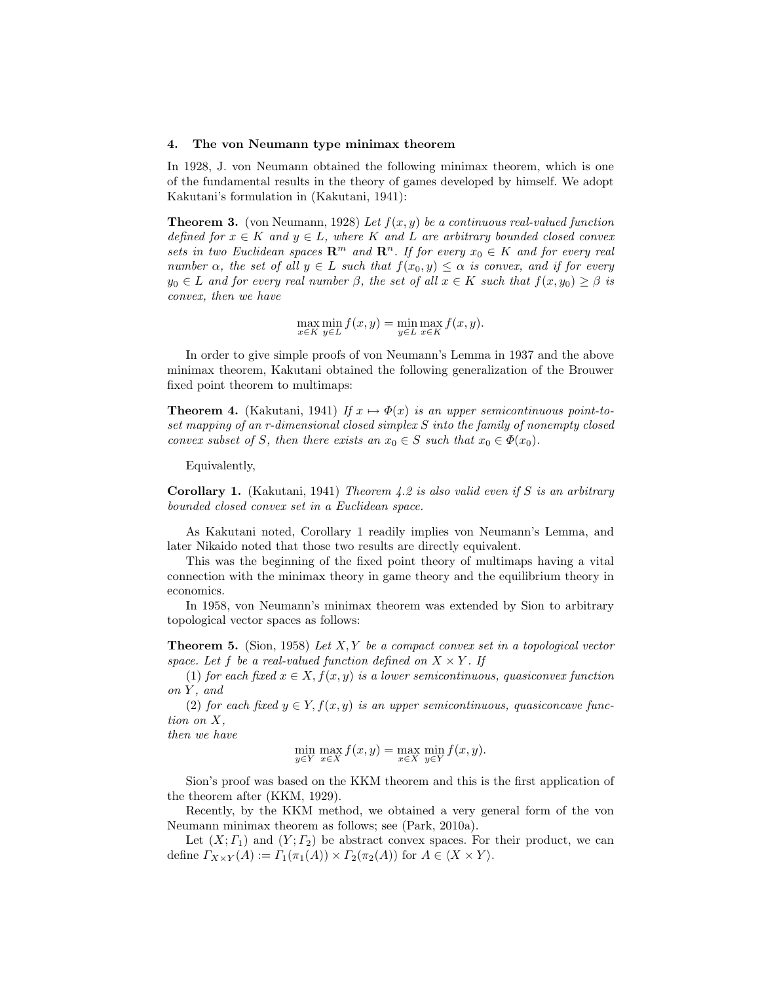#### 4. The von Neumann type minimax theorem

In 1928, J. von Neumann obtained the following minimax theorem, which is one of the fundamental results in the theory of games developed by himself. We adopt Kakutani's formulation in (Kakutani, 1941):

**Theorem 3.** (von Neumann, 1928) Let  $f(x, y)$  be a continuous real-valued function defined for  $x \in K$  and  $y \in L$ , where K and L are arbitrary bounded closed convex sets in two Euclidean spaces  $\mathbb{R}^m$  and  $\mathbb{R}^n$ . If for every  $x_0 \in K$  and for every real number  $\alpha$ , the set of all  $y \in L$  such that  $f(x_0, y) \leq \alpha$  is convex, and if for every  $y_0 \in L$  and for every real number  $\beta$ , the set of all  $x \in K$  such that  $f(x, y_0) \geq \beta$  is convex, then we have

 $\max_{x \in K} \min_{y \in L} f(x, y) = \min_{y \in L} \max_{x \in K} f(x, y).$ 

In order to give simple proofs of von Neumann's Lemma in 1937 and the above minimax theorem, Kakutani obtained the following generalization of the Brouwer fixed point theorem to multimaps:

**Theorem 4.** (Kakutani, 1941) If  $x \mapsto \Phi(x)$  is an upper semicontinuous point-toset mapping of an r-dimensional closed simplex S into the family of nonempty closed convex subset of S, then there exists an  $x_0 \in S$  such that  $x_0 \in \Phi(x_0)$ .

Equivalently,

**Corollary 1.** (Kakutani, 1941) Theorem 4.2 is also valid even if S is an arbitrary bounded closed convex set in a Euclidean space.

As Kakutani noted, Corollary 1 readily implies von Neumann's Lemma, and later Nikaido noted that those two results are directly equivalent.

This was the beginning of the fixed point theory of multimaps having a vital connection with the minimax theory in game theory and the equilibrium theory in economics.

In 1958, von Neumann's minimax theorem was extended by Sion to arbitrary topological vector spaces as follows:

**Theorem 5.** (Sion, 1958) Let  $X, Y$  be a compact convex set in a topological vector space. Let f be a real-valued function defined on  $X \times Y$ . If

(1) for each fixed  $x \in X, f(x, y)$  is a lower semicontinuous, quasiconvex function on Y , and

(2) for each fixed  $y \in Y, f(x, y)$  is an upper semicontinuous, quasiconcave function on X,

then we have

$$
\min_{y \in Y} \max_{x \in X} f(x, y) = \max_{x \in X} \min_{y \in Y} f(x, y).
$$

Sion's proof was based on the KKM theorem and this is the first application of the theorem after (KKM, 1929).

Recently, by the KKM method, we obtained a very general form of the von Neumann minimax theorem as follows; see (Park, 2010a).

Let  $(X; \Gamma_1)$  and  $(Y; \Gamma_2)$  be abstract convex spaces. For their product, we can define  $\Gamma_{X\times Y}(A) := \Gamma_1(\pi_1(A)) \times \Gamma_2(\pi_2(A))$  for  $A \in \langle X \times Y \rangle$ .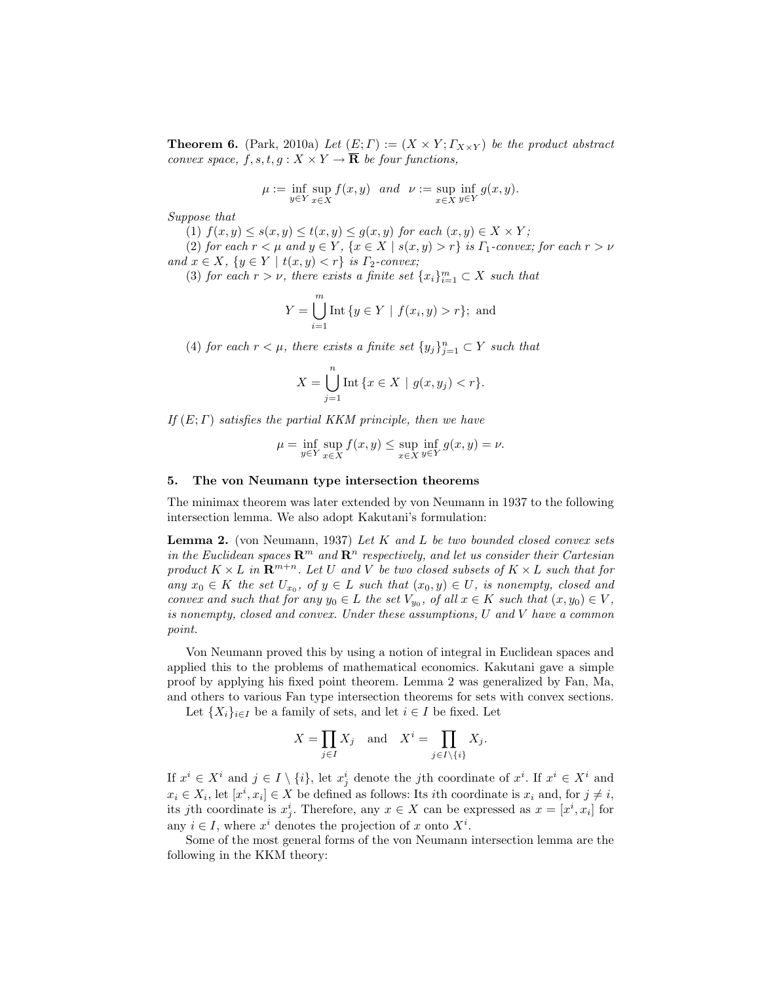**Theorem 6.** (Park, 2010a) Let  $(E; \Gamma) := (X \times Y; \Gamma_{X \times Y})$  be the product abstract convex space,  $f, s, t, g: X \times Y \to \overline{\mathbf{R}}$  be four functions,

$$
\mu := \inf_{y \in Y} \sup_{x \in X} f(x, y) \text{ and } \nu := \sup_{x \in X} \inf_{y \in Y} g(x, y).
$$

Suppose that

(1)  $f(x, y) \leq s(x, y) \leq t(x, y) \leq g(x, y)$  for each  $(x, y) \in X \times Y$ ;

(2) for each  $r < \mu$  and  $y \in Y$ ,  $\{x \in X \mid s(x, y) > r\}$  is  $\Gamma_1$ -convex; for each  $r > \nu$ and  $x \in X$ ,  $\{y \in Y \mid t(x, y) < r\}$  is  $\Gamma_2$ -convex;

(3) for each  $r > \nu$ , there exists a finite set  $\{x_i\}_{i=1}^m \subset X$  such that

$$
Y = \bigcup_{i=1}^{m} \text{Int} \{ y \in Y \mid f(x_i, y) > r \}; \text{ and}
$$

(4) for each  $r < \mu$ , there exists a finite set  $\{y_j\}_{j=1}^n \subset Y$  such that

$$
X = \bigcup_{j=1}^{n} \text{Int} \{ x \in X \mid g(x, y_j) < r \}.
$$

If  $(E; \Gamma)$  satisfies the partial KKM principle, then we have

$$
\mu = \inf_{y \in Y} \sup_{x \in X} f(x, y) \le \sup_{x \in X} \inf_{y \in Y} g(x, y) = \nu.
$$

#### 5. The von Neumann type intersection theorems

The minimax theorem was later extended by von Neumann in 1937 to the following intersection lemma. We also adopt Kakutani's formulation:

**Lemma 2.** (von Neumann, 1937) Let K and L be two bounded closed convex sets in the Euclidean spaces  $\mathbb{R}^m$  and  $\mathbb{R}^n$  respectively, and let us consider their Cartesian product  $K \times L$  in  $\mathbb{R}^{m+n}$ . Let U and V be two closed subsets of  $K \times L$  such that for any  $x_0 \in K$  the set  $U_{x_0}$ , of  $y \in L$  such that  $(x_0, y) \in U$ , is nonempty, closed and convex and such that for any  $y_0 \in L$  the set  $V_{y_0}$ , of all  $x \in K$  such that  $(x, y_0) \in V$ , is nonempty, closed and convex. Under these assumptions, U and V have a common point.

Von Neumann proved this by using a notion of integral in Euclidean spaces and applied this to the problems of mathematical economics. Kakutani gave a simple proof by applying his fixed point theorem. Lemma 2 was generalized by Fan, Ma, and others to various Fan type intersection theorems for sets with convex sections.

Let  $\{X_i\}_{i\in I}$  be a family of sets, and let  $i \in I$  be fixed. Let

$$
X = \prod_{j \in I} X_j \quad \text{and} \quad X^i = \prod_{j \in I \setminus \{i\}} X_j.
$$

If  $x^i \in X^i$  and  $j \in I \setminus \{i\}$ , let  $x^i_j$  denote the j<sup>th</sup> coordinate of  $x^i$ . If  $x^i \in X^i$  and  $x_i \in X_i$ , let  $[x^i, x_i] \in X$  be defined as follows: Its *i*th coordinate is  $x_i$  and, for  $j \neq i$ , its jth coordinate is  $x_j^i$ . Therefore, any  $x \in X$  can be expressed as  $x = [x^i, x_i]$  for any  $i \in I$ , where  $x^i$  denotes the projection of x onto  $X^i$ .

Some of the most general forms of the von Neumann intersection lemma are the following in the KKM theory: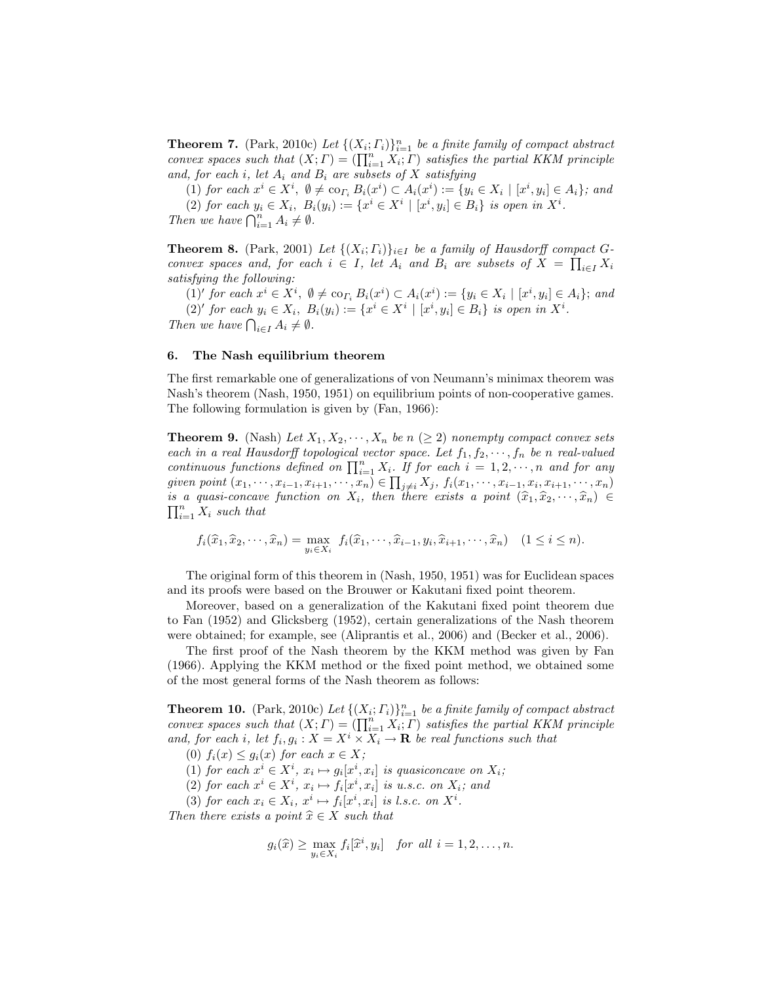**Theorem 7.** (Park, 2010c) Let  $\{(X_i; \Gamma_i)\}_{i=1}^n$  be a finite family of compact abstract **Theorem 1.** (Fark, 2010c) Let  $\{(X_i; I_i)\}_{i=1}^n$  be a junte jamuy of compact abstract convex spaces such that  $(X; \Gamma) = (\prod_{i=1}^n X_i; \Gamma)$  satisfies the partial KKM principle and, for each i, let  $A_i$  and  $B_i$  are subsets of X satisfying

(1) for each  $x^i \in X^i$ ,  $\emptyset \neq \text{co}_{\Gamma_i} B_i(x^i) \subset A_i(x^i) := \{y_i \in X_i \mid [x^i, y_i] \in A_i\}$ ; and (2) for each  $y_i \in X_i$ ,  $B_i(y_i) := \{x^i \in X^i \mid [x^i, y_i] \in B_i\}$  is open in  $X^i$ .

(2) for each  $y_i \in X_i$ ,  $D_i$ <br>Then we have  $\bigcap_{i=1}^n A_i \neq \emptyset$ .

**Theorem 8.** (Park, 2001) Let  $\{(X_i; \Gamma_i)\}_{i \in I}$  be a family of Hausdorff compact  $G$ convex spaces and, for each  $i \in I$ , let  $A_i$  and  $B_i$  are subsets of  $X = \prod_{i \in I} X_i$ satisfying the following:

(1)' for each  $x^i \in X^i$ ,  $\emptyset \neq \text{co}_{\Gamma_i} B_i(x^i) \subset A_i(x^i) := \{y_i \in X_i \mid [x^i, y_i] \in A_i\}$ ; and (2)' for each  $y_i \in X_i$ ,  $B_i(y_i) := \{x^i \in X^i \mid [x^i, y_i] \in B_i\}$  is open in  $X^i$ . (2) for each  $y_i \in X_i$ ,  $D$ <br>Then we have  $\bigcap_{i \in I} A_i \neq \emptyset$ .

### 6. The Nash equilibrium theorem

The first remarkable one of generalizations of von Neumann's minimax theorem was Nash's theorem (Nash, 1950, 1951) on equilibrium points of non-cooperative games. The following formulation is given by (Fan, 1966):

**Theorem 9.** (Nash) Let  $X_1, X_2, \dots, X_n$  be  $n \geq 2$ ) nonempty compact convex sets each in a real Hausdorff topological vector space. Let  $f_1, f_2, \dots, f_n$  be n real-valued each in a real Hausdorff topological vector space. Let  $j_1, j_2, \dots, j_n$  be a real-valued<br>continuous functions defined on  $\prod_{i=1}^n X_i$ . If for each  $i = 1, 2, \dots, n$  and for any given point  $(x_1, \dots, x_{i-1}, x_{i+1}, \dots, x_n) \in \prod_{j \neq i} X_j$ ,  $f_i(x_1, \dots, x_{i-1}, x_i, x_{i+1}, \dots, x_n)$ is a quasi-concave function on  $X_i$ , then there exists a point  $(\widehat{x}_1, \widehat{x}_2, \dots, \widehat{x}_n) \in \mathbb{R}^n$  $\sum_{i=1}^n X_i$  such that

$$
f_i(\widehat{x}_1, \widehat{x}_2, \cdots, \widehat{x}_n) = \max_{y_i \in X_i} f_i(\widehat{x}_1, \cdots, \widehat{x}_{i-1}, y_i, \widehat{x}_{i+1}, \cdots, \widehat{x}_n) \quad (1 \le i \le n).
$$

The original form of this theorem in (Nash, 1950, 1951) was for Euclidean spaces and its proofs were based on the Brouwer or Kakutani fixed point theorem.

Moreover, based on a generalization of the Kakutani fixed point theorem due to Fan (1952) and Glicksberg (1952), certain generalizations of the Nash theorem were obtained; for example, see (Aliprantis et al., 2006) and (Becker et al., 2006).

The first proof of the Nash theorem by the KKM method was given by Fan (1966). Applying the KKM method or the fixed point method, we obtained some of the most general forms of the Nash theorem as follows:

**Theorem 10.** (Park, 2010c) Let  $\{(X_i; \Gamma_i)\}_{i=1}^n$  be a finite family of compact abstract **Theorem 10.** (Fark, 2010c) Let  $\{X_i; I_i\}_{i=1}^n$  be a junite jamily of compact abstract convex spaces such that  $(X; \Gamma) = (\prod_{i=1}^n X_i; \Gamma)$  satisfies the partial KKM principle and, for each i, let  $f_i, g_i : X = X^i \times X_i \to \mathbf{R}$  be real functions such that

- (0)  $f_i(x) \leq g_i(x)$  for each  $x \in X$ ;
- (1) for each  $x^i \in X^i$ ,  $x_i \mapsto g_i[x^i, x_i]$  is quasiconcave on  $X_i$ ;
- (2) for each  $x^i \in X^i$ ,  $x_i \mapsto f_i[x^i, x_i]$  is u.s.c. on  $X_i$ ; and
- (3) for each  $x_i \in X_i$ ,  $x^i \mapsto f_i[x^i, x_i]$  is l.s.c. on  $X^i$ .

Then there exists a point  $\hat{x} \in X$  such that

$$
g_i(\widehat{x}) \ge \max_{y_i \in X_i} f_i[\widehat{x}^i, y_i]
$$
 for all  $i = 1, 2, ..., n$ .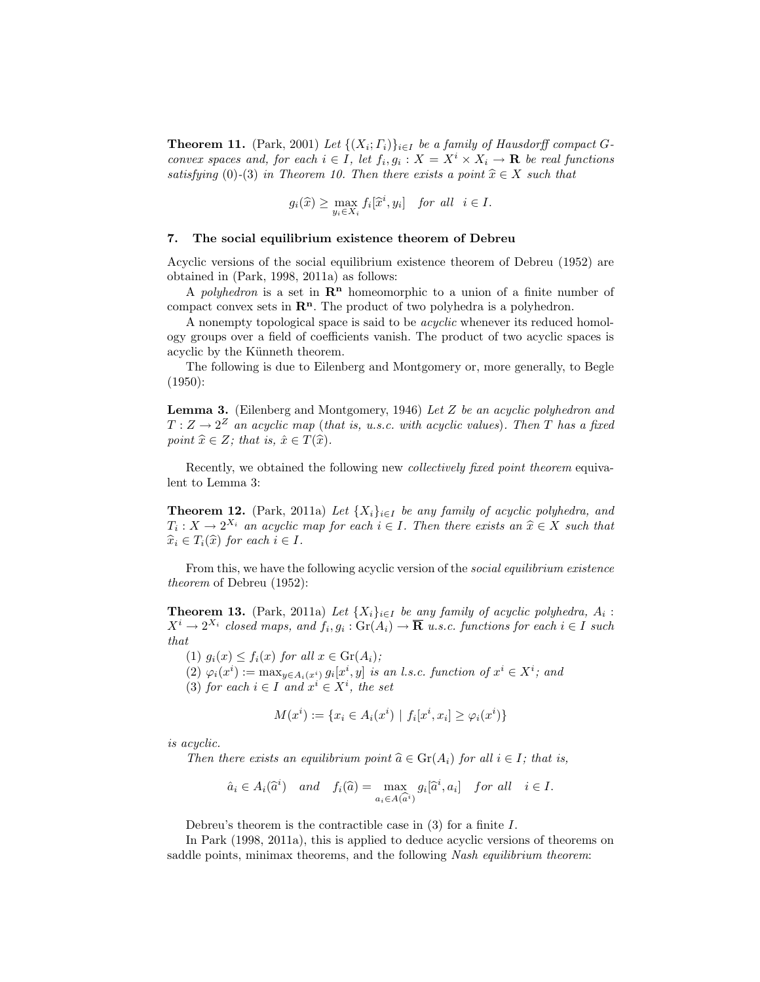**Theorem 11.** (Park, 2001) Let  $\{(X_i; \Gamma_i)\}_{i \in I}$  be a family of Hausdorff compact Gconvex spaces and, for each  $i \in I$ , let  $f_i, g_i : X = X^i \times X_i \to \mathbf{R}$  be real functions satisfying (0)-(3) in Theorem 10. Then there exists a point  $\hat{x} \in X$  such that

$$
g_i(\widehat{x}) \ge \max_{y_i \in X_i} f_i[\widehat{x}^i, y_i] \quad \text{for all} \quad i \in I.
$$

## 7. The social equilibrium existence theorem of Debreu

Acyclic versions of the social equilibrium existence theorem of Debreu (1952) are obtained in (Park, 1998, 2011a) as follows:

A polyhedron is a set in  $\mathbb{R}^n$  homeomorphic to a union of a finite number of compact convex sets in  $\mathbb{R}^n$ . The product of two polyhedra is a polyhedron.

A nonempty topological space is said to be acyclic whenever its reduced homology groups over a field of coefficients vanish. The product of two acyclic spaces is acyclic by the Künneth theorem.

The following is due to Eilenberg and Montgomery or, more generally, to Begle (1950):

**Lemma 3.** (Eilenberg and Montgomery, 1946) Let  $Z$  be an acyclic polyhedron and  $T: Z \to 2^Z$  an acyclic map (that is, u.s.c. with acyclic values). Then T has a fixed point  $\hat{x} \in Z$ ; that is,  $\hat{x} \in T(\hat{x})$ .

Recently, we obtained the following new collectively fixed point theorem equivalent to Lemma 3:

**Theorem 12.** (Park, 2011a) Let  $\{X_i\}_{i\in I}$  be any family of acyclic polyhedra, and  $T_i: X \to 2^{X_i}$  an acyclic map for each  $i \in I$ . Then there exists an  $\hat{x} \in X$  such that  $\widehat{x}_i \in T_i(\widehat{x})$  for each  $i \in I$ .

From this, we have the following acyclic version of the *social equilibrium existence* theorem of Debreu (1952):

**Theorem 13.** (Park, 2011a) Let  $\{X_i\}_{i\in I}$  be any family of acyclic polyhedra,  $A_i$ :  $X^i \to 2^{X_i}$  closed maps, and  $f_i, g_i : \text{Gr}(A_i) \to \overline{\mathbf{R}}$  u.s.c. functions for each  $i \in I$  such that

(1)  $g_i(x) \leq f_i(x)$  for all  $x \in \text{Gr}(A_i)$ ;

(2)  $\varphi_i(x^i) := \max_{y \in A_i(x^i)} g_i[x^i, y]$  is an l.s.c. function of  $x^i \in X^i$ ; and

(3) for each  $i \in I$  and  $x^i \in X^i$ , the set

$$
M(x^{i}) := \{ x_{i} \in A_{i}(x^{i}) \mid f_{i}[x^{i}, x_{i}] \ge \varphi_{i}(x^{i}) \}
$$

is acyclic.

Then there exists an equilibrium point  $\widehat{a} \in \text{Gr}(A_i)$  for all  $i \in I$ ; that is,

$$
\hat{a}_i \in A_i(\hat{a}^i)
$$
 and  $f_i(\hat{a}) = \max_{a_i \in A(\hat{a}^i)} g_i[\hat{a}^i, a_i]$  for all  $i \in I$ .

Debreu's theorem is the contractible case in  $(3)$  for a finite I.

In Park (1998, 2011a), this is applied to deduce acyclic versions of theorems on saddle points, minimax theorems, and the following Nash equilibrium theorem: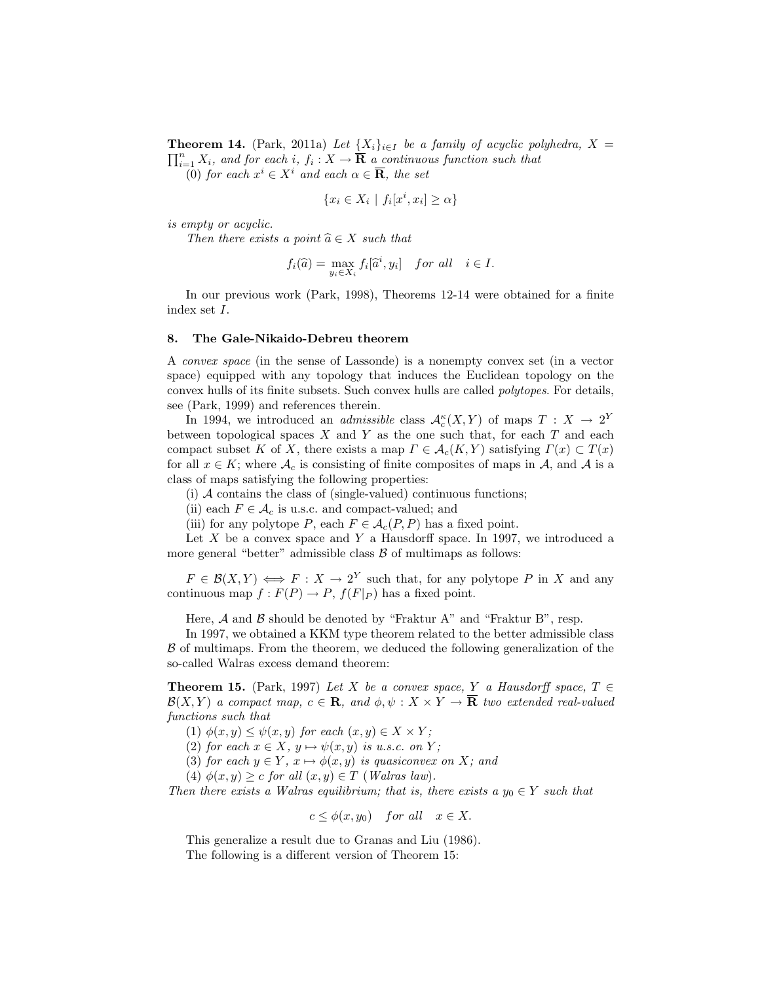**Theorem 14.** (Park, 2011a) Let  $\{X_i\}_{i\in I}$  be a family of acyclic polyhedra,  $X = \prod_{i=1}^{n} X_i$  $\sum_{i=1}^n X_i$ , and for each i,  $f_i : X \to \overline{\mathbf{R}}$  a continuous function such that

(0) for each  $x^i \in X^i$  and each  $\alpha \in \overline{\mathbf{R}}$ , the set

$$
\{x_i \in X_i \mid f_i[x^i, x_i] \ge \alpha\}
$$

is empty or acyclic.

Then there exists a point  $\widehat{a} \in X$  such that

$$
f_i(\widehat{a}) = \max_{y_i \in X_i} f_i[\widehat{a}^i, y_i] \quad \text{for all} \quad i \in I.
$$

In our previous work (Park, 1998), Theorems 12-14 were obtained for a finite index set I.

### 8. The Gale-Nikaido-Debreu theorem

A convex space (in the sense of Lassonde) is a nonempty convex set (in a vector space) equipped with any topology that induces the Euclidean topology on the convex hulls of its finite subsets. Such convex hulls are called polytopes. For details, see (Park, 1999) and references therein.

In 1994, we introduced an *admissible* class  $\mathcal{A}_{c}^{\kappa}(X, Y)$  of maps  $T : X \to 2^Y$ between topological spaces  $X$  and  $Y$  as the one such that, for each  $T$  and each compact subset K of X, there exists a map  $\Gamma \in \mathcal{A}_{c}(K, Y)$  satisfying  $\Gamma(x) \subset T(x)$ for all  $x \in K$ ; where  $\mathcal{A}_c$  is consisting of finite composites of maps in  $\mathcal{A}$ , and  $\mathcal{A}$  is a class of maps satisfying the following properties:

(i)  $\mathcal A$  contains the class of (single-valued) continuous functions;

(ii) each  $F \in \mathcal{A}_c$  is u.s.c. and compact-valued; and

(iii) for any polytope P, each  $F \in \mathcal{A}_c(P, P)$  has a fixed point.

Let  $X$  be a convex space and  $Y$  a Hausdorff space. In 1997, we introduced a more general "better" admissible class  $\beta$  of multimaps as follows:

 $F \in \mathcal{B}(X,Y) \iff F : X \to 2^Y$  such that, for any polytope P in X and any continuous map  $f : F(P) \to P$ ,  $f(F|_P)$  has a fixed point.

Here,  $A$  and  $B$  should be denoted by "Fraktur A" and "Fraktur B", resp.

In 1997, we obtained a KKM type theorem related to the better admissible class  $\beta$  of multimaps. From the theorem, we deduced the following generalization of the so-called Walras excess demand theorem:

**Theorem 15.** (Park, 1997) Let X be a convex space, Y a Hausdorff space,  $T \in$  $\mathcal{B}(X,Y)$  a compact map,  $c \in \mathbf{R}$ , and  $\phi, \psi : X \times Y \to \mathbf{\overline{R}}$  two extended real-valued functions such that

- (1)  $\phi(x, y) \leq \psi(x, y)$  for each  $(x, y) \in X \times Y$ ;
- (2) for each  $x \in X$ ,  $y \mapsto \psi(x, y)$  is u.s.c. on Y;
- (3) for each  $y \in Y$ ,  $x \mapsto \phi(x, y)$  is quasiconvex on X; and
- (4)  $\phi(x, y) \geq c$  for all  $(x, y) \in T$  (Walras law).

Then there exists a Walras equilibrium; that is, there exists a  $y_0 \in Y$  such that

$$
c \le \phi(x, y_0) \quad \text{for all} \quad x \in X.
$$

This generalize a result due to Granas and Liu (1986). The following is a different version of Theorem 15: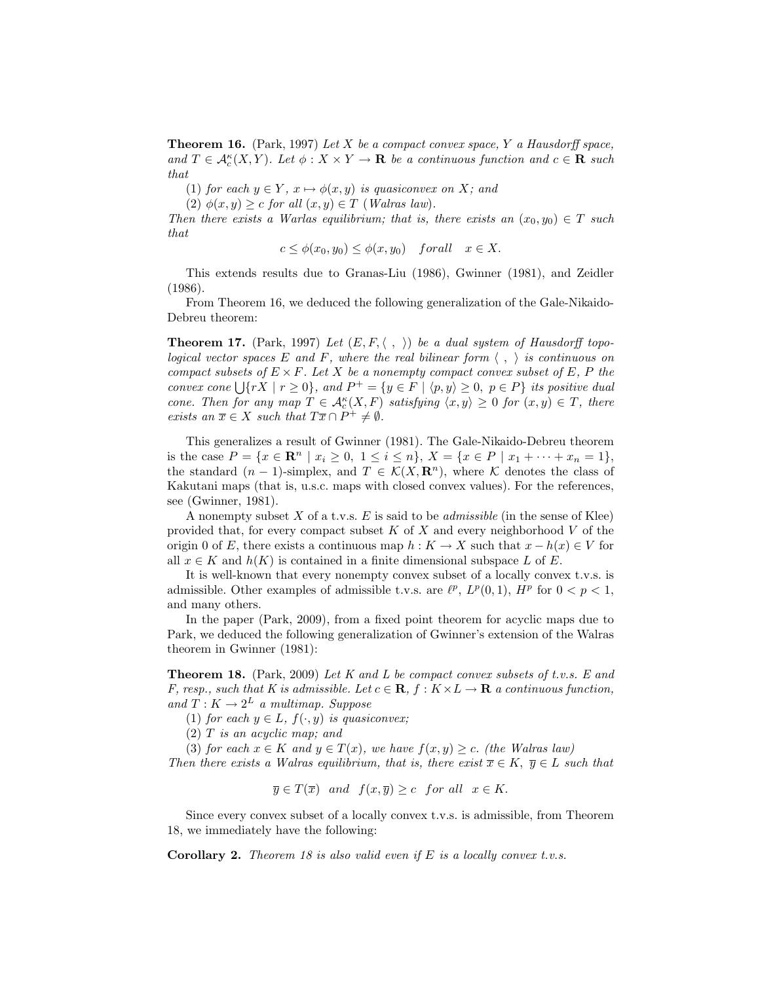**Theorem 16.** (Park, 1997) Let X be a compact convex space, Y a Hausdorff space, and  $T \in \mathcal{A}_c^{\kappa}(X,Y)$ . Let  $\phi: X \times Y \to \mathbf{R}$  be a continuous function and  $c \in \mathbf{R}$  such that

(1) for each  $y \in Y$ ,  $x \mapsto \phi(x, y)$  is quasiconvex on X; and

(2)  $\phi(x, y) \geq c$  for all  $(x, y) \in T$  (Walras law).

Then there exists a Warlas equilibrium; that is, there exists an  $(x_0, y_0) \in T$  such that

$$
c \le \phi(x_0, y_0) \le \phi(x, y_0) \quad \text{for all} \quad x \in X.
$$

This extends results due to Granas-Liu (1986), Gwinner (1981), and Zeidler (1986).

From Theorem 16, we deduced the following generalization of the Gale-Nikaido-Debreu theorem:

**Theorem 17.** (Park, 1997) Let  $(E, F, \langle , \rangle)$  be a dual system of Hausdorff topological vector spaces E and F, where the real bilinear form  $\langle , \rangle$  is continuous on compact subsets of  $E \times F$ . Let X be a nonempty compact convex subset of E, P the compact subsets of  $E \times F$ . Let  $X$  be a nonempty compact convex subset of  $E, F$  the<br>convex cone  $\bigcup \{rX \mid r \geq 0\}$ , and  $P^+ = \{y \in F \mid \langle p, y \rangle \geq 0, p \in P\}$  its positive dual cone. Then for any map  $T \in \mathcal{A}_c^{\kappa}(X,F)$  satisfying  $\langle x, y \rangle \geq 0$  for  $(x, y) \in T$ , there exists an  $\overline{x} \in X$  such that  $T\overline{x} \cap P^+ \neq \emptyset$ .

This generalizes a result of Gwinner (1981). The Gale-Nikaido-Debreu theorem is the case  $P = \{x \in \mathbb{R}^n \mid x_i \geq 0, 1 \leq i \leq n\}, X = \{x \in P \mid x_1 + \cdots + x_n = 1\},\$ the standard  $(n-1)$ -simplex, and  $T \in \mathcal{K}(X, \mathbb{R}^n)$ , where K denotes the class of Kakutani maps (that is, u.s.c. maps with closed convex values). For the references, see (Gwinner, 1981).

A nonempty subset X of a t.v.s.  $E$  is said to be *admissible* (in the sense of Klee) provided that, for every compact subset  $K$  of  $X$  and every neighborhood  $V$  of the origin 0 of E, there exists a continuous map  $h: K \to X$  such that  $x - h(x) \in V$  for all  $x \in K$  and  $h(K)$  is contained in a finite dimensional subspace L of E.

It is well-known that every nonempty convex subset of a locally convex t.v.s. is admissible. Other examples of admissible t.v.s. are  $\ell^p$ ,  $L^p(0,1)$ ,  $H^p$  for  $0 < p < 1$ , and many others.

In the paper (Park, 2009), from a fixed point theorem for acyclic maps due to Park, we deduced the following generalization of Gwinner's extension of the Walras theorem in Gwinner (1981):

**Theorem 18.** (Park, 2009) Let K and L be compact convex subsets of t.v.s. E and F, resp., such that K is admissible. Let  $c \in \mathbf{R}$ ,  $f : K \times L \to \mathbf{R}$  a continuous function, and  $T: K \to 2^L$  a multimap. Suppose

(1) for each  $y \in L$ ,  $f(\cdot, y)$  is quasiconvex;

(2) T is an acyclic map; and

(3) for each  $x \in K$  and  $y \in T(x)$ , we have  $f(x, y) \geq c$ . (the Walras law)

Then there exists a Walras equilibrium, that is, there exist  $\overline{x} \in K$ ,  $\overline{y} \in L$  such that

 $\overline{y} \in T(\overline{x})$  and  $f(x, \overline{y}) \geq c$  for all  $x \in K$ .

Since every convex subset of a locally convex t.v.s. is admissible, from Theorem 18, we immediately have the following:

**Corollary 2.** Theorem 18 is also valid even if  $E$  is a locally convex t.v.s.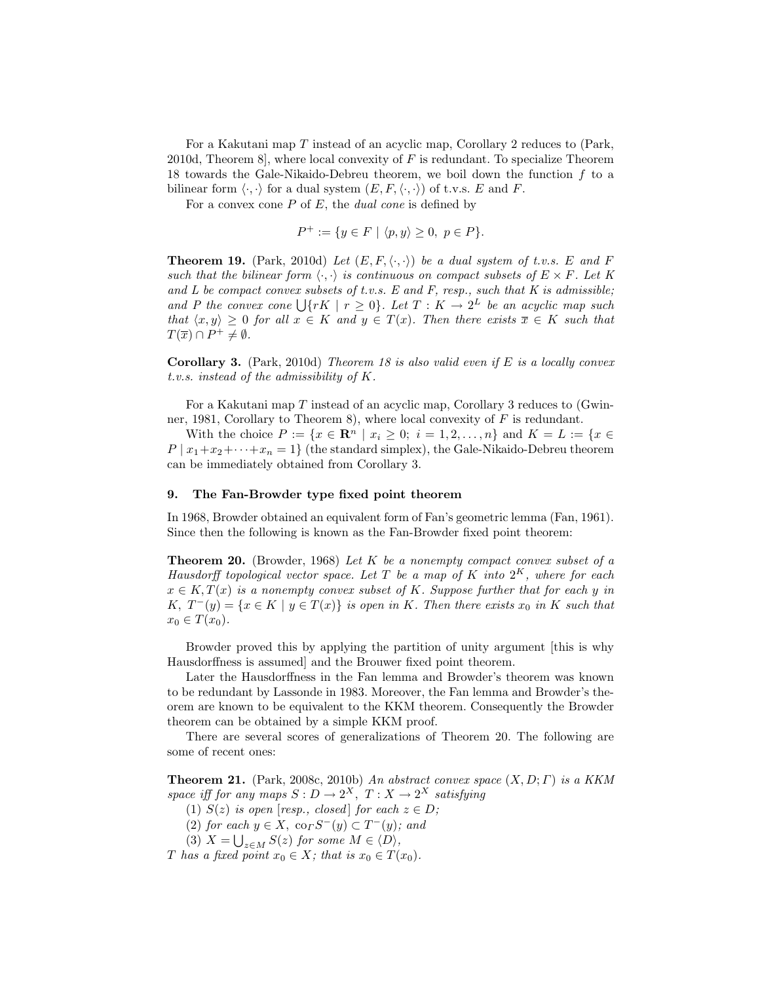For a Kakutani map T instead of an acyclic map, Corollary 2 reduces to (Park, 2010d, Theorem 8], where local convexity of F is redundant. To specialize Theorem 18 towards the Gale-Nikaido-Debreu theorem, we boil down the function  $f$  to a bilinear form  $\langle \cdot, \cdot \rangle$  for a dual system  $(E, F, \langle \cdot, \cdot \rangle)$  of t.v.s. E and F.

For a convex cone  $P$  of  $E$ , the *dual cone* is defined by

$$
P^+ := \{ y \in F \mid \langle p, y \rangle \ge 0, \ p \in P \}.
$$

**Theorem 19.** (Park, 2010d) Let  $(E, F, \langle \cdot, \cdot \rangle)$  be a dual system of t.v.s. E and F such that the bilinear form  $\langle \cdot, \cdot \rangle$  is continuous on compact subsets of  $E \times F$ . Let K and  $L$  be compact convex subsets of t.v.s.  $E$  and  $F$ , resp., such that  $K$  is admissible; and L be compact convex subsets by t.v.s. L and r, resp., such that K is damissible;<br>and P the convex cone  $\lfloor \{\n rK \mid r \geq 0\}$ . Let  $T : K \to 2^L$  be an acyclic map such that  $\langle x, y \rangle \geq 0$  for all  $x \in K$  and  $y \in T(x)$ . Then there exists  $\overline{x} \in K$  such that  $T(\overline{x}) \cap P^+ \neq \emptyset.$ 

**Corollary 3.** (Park, 2010d) Theorem 18 is also valid even if E is a locally convex t.v.s. instead of the admissibility of K.

For a Kakutani map T instead of an acyclic map, Corollary 3 reduces to (Gwinner, 1981, Corollary to Theorem 8), where local convexity of  $F$  is redundant.

With the choice  $P := \{x \in \mathbb{R}^n \mid x_i \geq 0; i = 1, 2, ..., n\}$  and  $K = L := \{x \in \mathbb{R}^n \mid x_i \geq 0\}$  $P | x_1+x_2+\cdots+x_n=1$  (the standard simplex), the Gale-Nikaido-Debreu theorem can be immediately obtained from Corollary 3.

#### 9. The Fan-Browder type fixed point theorem

In 1968, Browder obtained an equivalent form of Fan's geometric lemma (Fan, 1961). Since then the following is known as the Fan-Browder fixed point theorem:

**Theorem 20.** (Browder, 1968) Let K be a nonempty compact convex subset of a Hausdorff topological vector space. Let T be a map of K into  $2^K$ , where for each  $x \in K$ ,  $T(x)$  is a nonempty convex subset of K. Suppose further that for each y in K,  $T^-(y) = \{x \in K \mid y \in T(x)\}\$ is open in K. Then there exists  $x_0$  in K such that  $x_0 \in T(x_0)$ .

Browder proved this by applying the partition of unity argument [this is why Hausdorffness is assumed] and the Brouwer fixed point theorem.

Later the Hausdorffness in the Fan lemma and Browder's theorem was known to be redundant by Lassonde in 1983. Moreover, the Fan lemma and Browder's theorem are known to be equivalent to the KKM theorem. Consequently the Browder theorem can be obtained by a simple KKM proof.

There are several scores of generalizations of Theorem 20. The following are some of recent ones:

**Theorem 21.** (Park, 2008c, 2010b) An abstract convex space  $(X, D; \Gamma)$  is a KKM space iff for any maps  $S: D \to 2^X$ ,  $T: X \to 2^X$  satisfying

(1)  $S(z)$  is open [resp., closed] for each  $z \in D$ ;

(2) for each  $y \in X$ ,  $\operatorname{co}_{\Gamma} S^{-}(y) \subset T^{-}(y)$ ; and

(3)  $X = \bigcup_{z \in M} S(z)$  for some  $M \in \langle D \rangle$ ,

T has a fixed point  $x_0 \in X$ ; that is  $x_0 \in T(x_0)$ .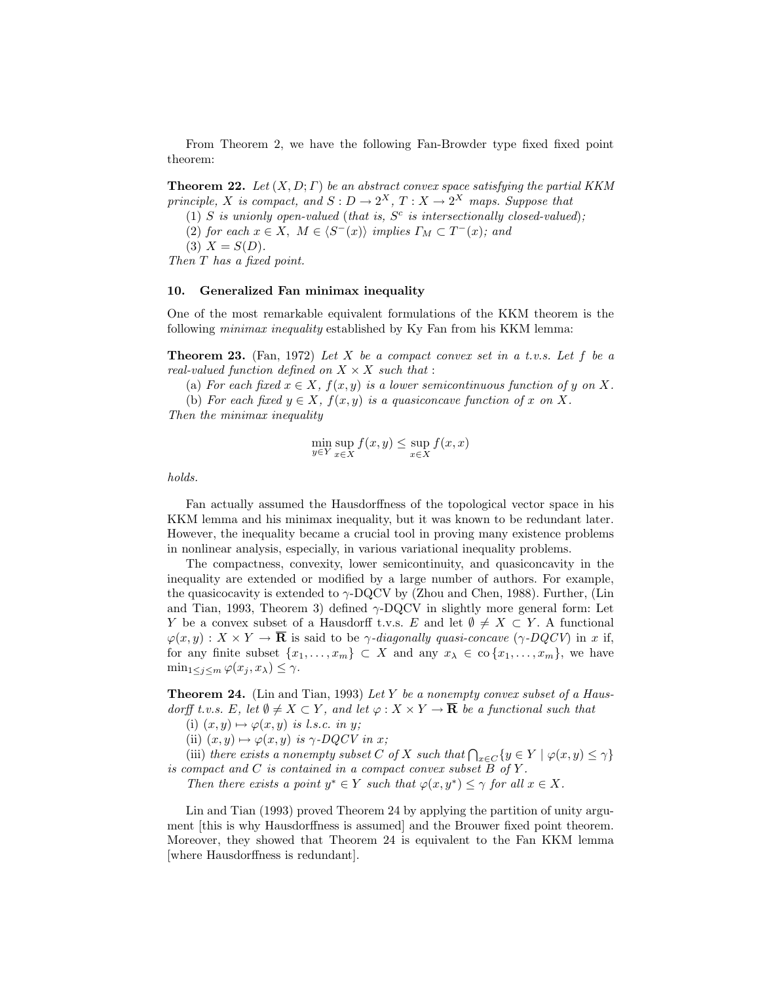From Theorem 2, we have the following Fan-Browder type fixed fixed point theorem:

**Theorem 22.** Let  $(X, D; \Gamma)$  be an abstract convex space satisfying the partial KKM principle, X is compact, and  $S: D \to 2^X$ ,  $T: X \to 2^X$  maps. Suppose that

(1) S is unionly open-valued (that is,  $S<sup>c</sup>$  is intersectionally closed-valued);

(2) for each  $x \in X$ ,  $M \in \langle S^{-}(x) \rangle$  implies  $\Gamma_M \subset T^{-}(x)$ ; and

$$
(3) X = S(D).
$$

Then T has a fixed point.

### 10. Generalized Fan minimax inequality

One of the most remarkable equivalent formulations of the KKM theorem is the following minimax inequality established by Ky Fan from his KKM lemma:

**Theorem 23.** (Fan, 1972) Let X be a compact convex set in a t.v.s. Let f be a real-valued function defined on  $X \times X$  such that :

(a) For each fixed  $x \in X$ ,  $f(x, y)$  is a lower semicontinuous function of y on X.

(b) For each fixed  $y \in X$ ,  $f(x, y)$  is a quasiconcave function of x on X.

Then the minimax inequality

$$
\min_{y \in Y} \sup_{x \in X} f(x, y) \le \sup_{x \in X} f(x, x)
$$

holds.

Fan actually assumed the Hausdorffness of the topological vector space in his KKM lemma and his minimax inequality, but it was known to be redundant later. However, the inequality became a crucial tool in proving many existence problems in nonlinear analysis, especially, in various variational inequality problems.

The compactness, convexity, lower semicontinuity, and quasiconcavity in the inequality are extended or modified by a large number of authors. For example, the quasicocavity is extended to  $\gamma$ -DQCV by (Zhou and Chen, 1988). Further, (Lin and Tian, 1993, Theorem 3) defined  $\gamma$ -DQCV in slightly more general form: Let Y be a convex subset of a Hausdorff t.v.s. E and let  $\emptyset \neq X \subset Y$ . A functional  $\varphi(x, y) : X \times Y \to \mathbf{\overline{R}}$  is said to be  $\gamma$ -diagonally quasi-concave  $(\gamma$ -DQCV) in x if, for any finite subset  $\{x_1, \ldots, x_m\} \subset X$  and any  $x_\lambda \in \text{co}\{x_1, \ldots, x_m\}$ , we have  $\min_{1 \leq j \leq m} \varphi(x_j, x_\lambda) \leq \gamma.$ 

**Theorem 24.** (Lin and Tian, 1993) Let Y be a nonempty convex subset of a Hausdorff t.v.s. E, let  $\emptyset \neq X \subset Y$ , and let  $\varphi : X \times Y \to \overline{\mathbf{R}}$  be a functional such that

(i)  $(x, y) \mapsto \varphi(x, y)$  is l.s.c. in y;

(ii)  $(x, y) \mapsto \varphi(x, y)$  is  $\gamma$ -DQCV in x;

(ii)  $(x, y) \mapsto \varphi(x, y)$  is  $\gamma$ -DQCV in  $x$ ;<br>(iii) there exists a nonempty subset C of X such that  $\bigcap_{x \in C} \{y \in Y \mid \varphi(x, y) \leq \gamma\}$ is compact and  $C$  is contained in a compact convex subset  $\overline{B}$  of  $Y$ .

Then there exists a point  $y^* \in Y$  such that  $\varphi(x, y^*) \leq \gamma$  for all  $x \in X$ .

Lin and Tian (1993) proved Theorem 24 by applying the partition of unity argument [this is why Hausdorffness is assumed] and the Brouwer fixed point theorem. Moreover, they showed that Theorem 24 is equivalent to the Fan KKM lemma [where Hausdorffness is redundant].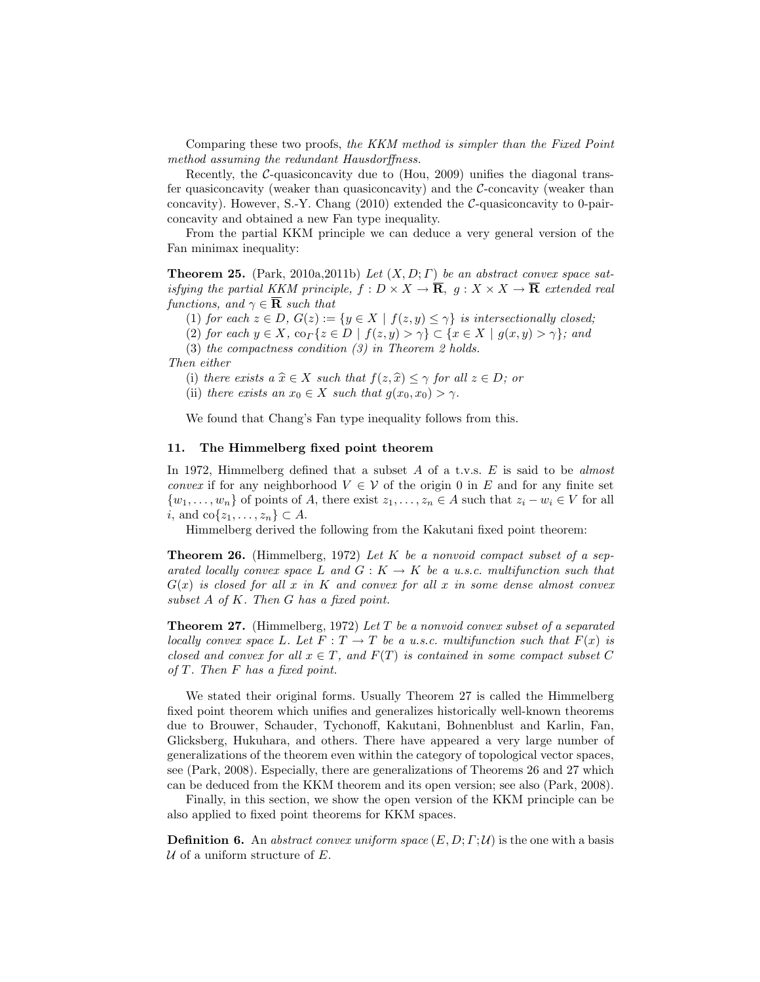Comparing these two proofs, the KKM method is simpler than the Fixed Point method assuming the redundant Hausdorffness.

Recently, the  $C$ -quasiconcavity due to (Hou, 2009) unifies the diagonal transfer quasiconcavity (weaker than quasiconcavity) and the  $\mathcal{C}\text{-concavity}$  (weaker than concavity). However, S.-Y. Chang (2010) extended the C-quasiconcavity to 0-pairconcavity and obtained a new Fan type inequality.

From the partial KKM principle we can deduce a very general version of the Fan minimax inequality:

**Theorem 25.** (Park, 2010a, 2011b) Let  $(X, D; \Gamma)$  be an abstract convex space satisfying the partial KKM principle,  $f : D \times X \to \overline{\mathbf{R}}$ ,  $g : X \times X \to \overline{\mathbf{R}}$  extended real functions, and  $\gamma \in \overline{\mathbf{R}}$  such that

(1) for each  $z \in D$ ,  $G(z) := \{y \in X \mid f(z, y) \leq \gamma\}$  is intersectionally closed;

(2) for each  $y \in X$ ,  $\operatorname{co}_\Gamma\{z \in D \mid f(z,y) > \gamma\} \subset \{x \in X \mid g(x,y) > \gamma\}$ ; and

(3) the compactness condition (3) in Theorem 2 holds.

Then either

(i) there exists a  $\hat{x} \in X$  such that  $f(z, \hat{x}) \leq \gamma$  for all  $z \in D$ ; or

(ii) there exists an  $x_0 \in X$  such that  $g(x_0, x_0) > \gamma$ .

We found that Chang's Fan type inequality follows from this.

### 11. The Himmelberg fixed point theorem

In 1972, Himmelberg defined that a subset  $A$  of a t.v.s.  $E$  is said to be almost *convex* if for any neighborhood  $V \in V$  of the origin 0 in E and for any finite set  $\{w_1, \ldots, w_n\}$  of points of A, there exist  $z_1, \ldots, z_n \in A$  such that  $z_i - w_i \in V$  for all i, and co $\{z_1, \ldots, z_n\} \subset A$ .

Himmelberg derived the following from the Kakutani fixed point theorem:

**Theorem 26.** (Himmelberg, 1972) Let K be a nonvoid compact subset of a separated locally convex space L and  $G: K \to K$  be a u.s.c. multifunction such that  $G(x)$  is closed for all x in K and convex for all x in some dense almost convex subset  $A$  of  $K$ . Then  $G$  has a fixed point.

**Theorem 27.** (Himmelberg, 1972) Let T be a nonvoid convex subset of a separated locally convex space L. Let  $F: T \to T$  be a u.s.c. multifunction such that  $F(x)$  is closed and convex for all  $x \in T$ , and  $F(T)$  is contained in some compact subset C of T. Then F has a fixed point.

We stated their original forms. Usually Theorem 27 is called the Himmelberg fixed point theorem which unifies and generalizes historically well-known theorems due to Brouwer, Schauder, Tychonoff, Kakutani, Bohnenblust and Karlin, Fan, Glicksberg, Hukuhara, and others. There have appeared a very large number of generalizations of the theorem even within the category of topological vector spaces, see (Park, 2008). Especially, there are generalizations of Theorems 26 and 27 which can be deduced from the KKM theorem and its open version; see also (Park, 2008).

Finally, in this section, we show the open version of the KKM principle can be also applied to fixed point theorems for KKM spaces.

**Definition 6.** An abstract convex uniform space  $(E, D; \Gamma; \mathcal{U})$  is the one with a basis  $U$  of a uniform structure of  $E$ .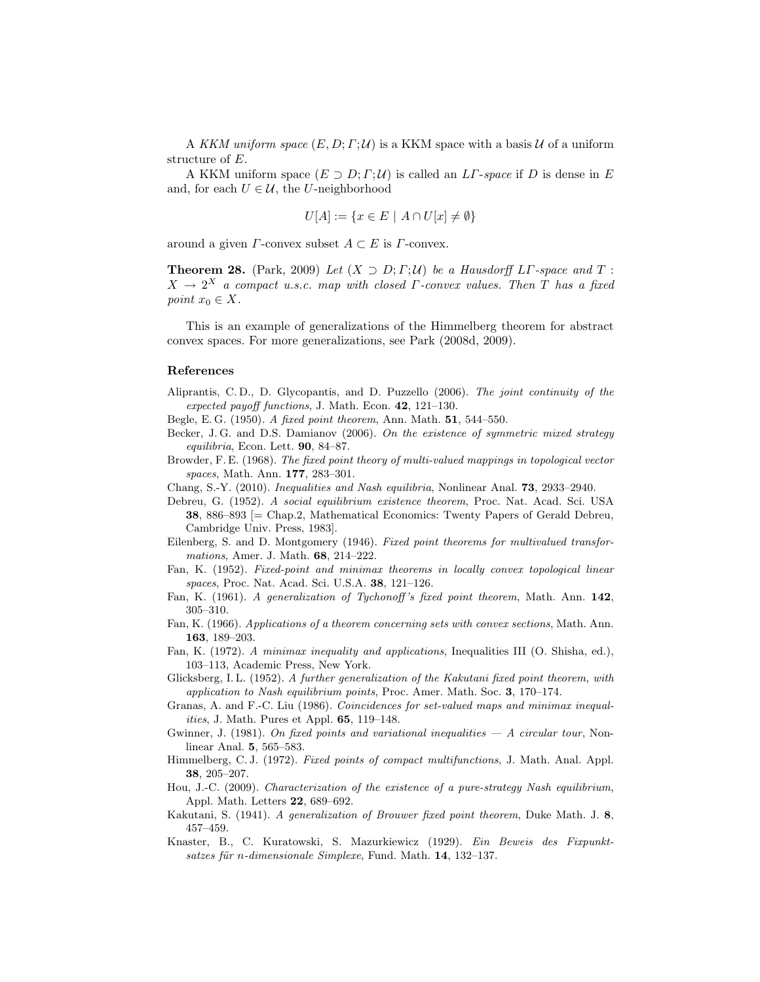A KKM uniform space  $(E, D; \Gamma; \mathcal{U})$  is a KKM space with a basis U of a uniform structure of E.

A KKM uniform space  $(E \supset D; \Gamma; \mathcal{U})$  is called an  $LT$ -space if D is dense in E and, for each  $U \in \mathcal{U}$ , the U-neighborhood

$$
U[A] := \{ x \in E \mid A \cap U[x] \neq \emptyset \}
$$

around a given  $\Gamma$ -convex subset  $A \subset E$  is  $\Gamma$ -convex.

**Theorem 28.** (Park, 2009) Let  $(X \supset D; \Gamma; \mathcal{U})$  be a Hausdorff LT-space and T:  $X \to 2^X$  a compact u.s.c. map with closed  $\Gamma$ -convex values. Then T has a fixed point  $x_0 \in X$ .

This is an example of generalizations of the Himmelberg theorem for abstract convex spaces. For more generalizations, see Park (2008d, 2009).

#### References

- Aliprantis, C. D., D. Glycopantis, and D. Puzzello (2006). The joint continuity of the expected payoff functions, J. Math. Econ. 42, 121–130.
- Begle, E. G. (1950). A fixed point theorem, Ann. Math. 51, 544–550.
- Becker, J. G. and D.S. Damianov (2006). On the existence of symmetric mixed strategy equilibria, Econ. Lett. 90, 84–87.
- Browder, F. E. (1968). The fixed point theory of multi-valued mappings in topological vector spaces, Math. Ann. 177, 283–301.
- Chang, S.-Y. (2010). Inequalities and Nash equilibria, Nonlinear Anal. 73, 2933–2940.
- Debreu, G. (1952). A social equilibrium existence theorem, Proc. Nat. Acad. Sci. USA 38, 886–893 [= Chap.2, Mathematical Economics: Twenty Papers of Gerald Debreu, Cambridge Univ. Press, 1983].
- Eilenberg, S. and D. Montgomery (1946). Fixed point theorems for multivalued transformations, Amer. J. Math. 68, 214–222.
- Fan, K. (1952). Fixed-point and minimax theorems in locally convex topological linear spaces, Proc. Nat. Acad. Sci. U.S.A. 38, 121–126.
- Fan, K. (1961). A generalization of Tychonoff's fixed point theorem, Math. Ann. 142, 305–310.
- Fan, K. (1966). Applications of a theorem concerning sets with convex sections, Math. Ann. 163, 189–203.
- Fan, K. (1972). A minimax inequality and applications, Inequalities III (O. Shisha, ed.), 103–113, Academic Press, New York.
- Glicksberg, I. L. (1952). A further generalization of the Kakutani fixed point theorem, with application to Nash equilibrium points, Proc. Amer. Math. Soc. 3, 170–174.
- Granas, A. and F.-C. Liu (1986). Coincidences for set-valued maps and minimax inequalities, J. Math. Pures et Appl. 65, 119–148.
- Gwinner, J. (1981). On fixed points and variational inequalities  $-A$  circular tour, Nonlinear Anal. 5, 565–583.
- Himmelberg, C. J. (1972). Fixed points of compact multifunctions, J. Math. Anal. Appl. 38, 205–207.
- Hou, J.-C. (2009). Characterization of the existence of a pure-strategy Nash equilibrium, Appl. Math. Letters 22, 689–692.
- Kakutani, S. (1941). A generalization of Brouwer fixed point theorem, Duke Math. J. 8, 457–459.
- Knaster, B., C. Kuratowski, S. Mazurkiewicz (1929). Ein Beweis des Fixpunktsatzes für n-dimensionale Simplexe, Fund. Math.  $14$ , 132–137.